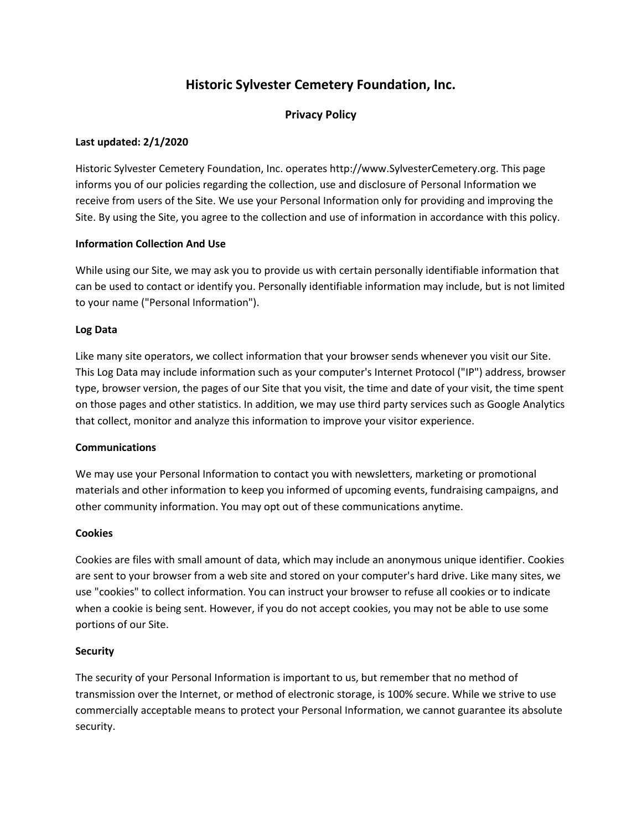# **Historic Sylvester Cemetery Foundation, Inc.**

# **Privacy Policy**

# **Last updated: 2/1/2020**

Historic Sylvester Cemetery Foundation, Inc. operates http://www.SylvesterCemetery.org. This page informs you of our policies regarding the collection, use and disclosure of Personal Information we receive from users of the Site. We use your Personal Information only for providing and improving the Site. By using the Site, you agree to the collection and use of information in accordance with this policy.

#### **Information Collection And Use**

While using our Site, we may ask you to provide us with certain personally identifiable information that can be used to contact or identify you. Personally identifiable information may include, but is not limited to your name ("Personal Information").

#### **Log Data**

Like many site operators, we collect information that your browser sends whenever you visit our Site. This Log Data may include information such as your computer's Internet Protocol ("IP") address, browser type, browser version, the pages of our Site that you visit, the time and date of your visit, the time spent on those pages and other statistics. In addition, we may use third party services such as Google Analytics that collect, monitor and analyze this information to improve your visitor experience.

#### **Communications**

We may use your Personal Information to contact you with newsletters, marketing or promotional materials and other information to keep you informed of upcoming events, fundraising campaigns, and other community information. You may opt out of these communications anytime.

#### **Cookies**

Cookies are files with small amount of data, which may include an anonymous unique identifier. Cookies are sent to your browser from a web site and stored on your computer's hard drive. Like many sites, we use "cookies" to collect information. You can instruct your browser to refuse all cookies or to indicate when a cookie is being sent. However, if you do not accept cookies, you may not be able to use some portions of our Site.

#### **Security**

The security of your Personal Information is important to us, but remember that no method of transmission over the Internet, or method of electronic storage, is 100% secure. While we strive to use commercially acceptable means to protect your Personal Information, we cannot guarantee its absolute security.